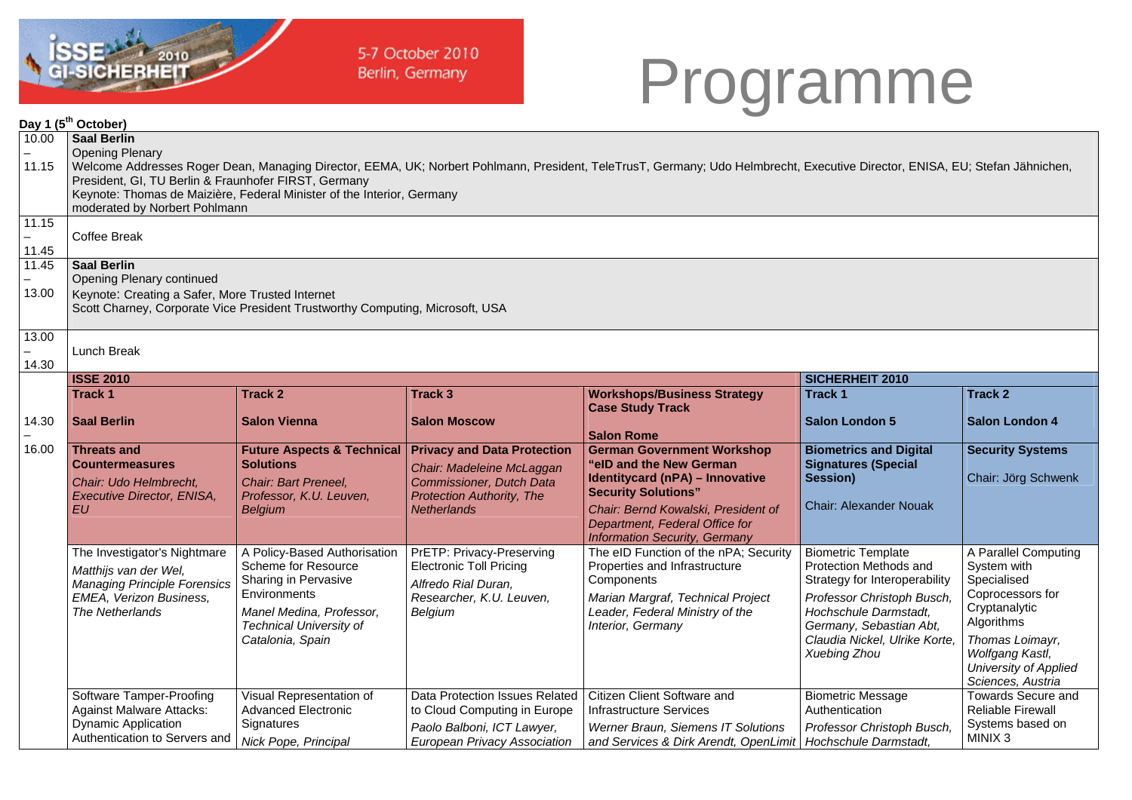

5-7 October 2010 Berlin, Germany

## Programme

|                | Day 1 (5 <sup>th</sup> October)                                                                                                                                                                                                                                                                                                                                                                 |                                                                                                                                                                               |                                                                                                                                                       |                                                                                                                                                                                                                                                |                                                                                                                                                                                                                         |                                                                                                                                                                                                  |  |  |  |
|----------------|-------------------------------------------------------------------------------------------------------------------------------------------------------------------------------------------------------------------------------------------------------------------------------------------------------------------------------------------------------------------------------------------------|-------------------------------------------------------------------------------------------------------------------------------------------------------------------------------|-------------------------------------------------------------------------------------------------------------------------------------------------------|------------------------------------------------------------------------------------------------------------------------------------------------------------------------------------------------------------------------------------------------|-------------------------------------------------------------------------------------------------------------------------------------------------------------------------------------------------------------------------|--------------------------------------------------------------------------------------------------------------------------------------------------------------------------------------------------|--|--|--|
| 10.00<br>11.15 | <b>Saal Berlin</b><br><b>Opening Plenary</b><br>Welcome Addresses Roger Dean, Managing Director, EEMA, UK; Norbert Pohlmann, President, TeleTrusT, Germany; Udo Helmbrecht, Executive Director, ENISA, EU; Stefan Jähnichen,<br>President, GI, TU Berlin & Fraunhofer FIRST, Germany<br>Keynote: Thomas de Maizière, Federal Minister of the Interior, Germany<br>moderated by Norbert Pohlmann |                                                                                                                                                                               |                                                                                                                                                       |                                                                                                                                                                                                                                                |                                                                                                                                                                                                                         |                                                                                                                                                                                                  |  |  |  |
| 11.15<br>11.45 | Coffee Break                                                                                                                                                                                                                                                                                                                                                                                    |                                                                                                                                                                               |                                                                                                                                                       |                                                                                                                                                                                                                                                |                                                                                                                                                                                                                         |                                                                                                                                                                                                  |  |  |  |
| 11.45<br>13.00 | <b>Saal Berlin</b><br>Opening Plenary continued<br>Keynote: Creating a Safer, More Trusted Internet<br>Scott Charney, Corporate Vice President Trustworthy Computing, Microsoft, USA                                                                                                                                                                                                            |                                                                                                                                                                               |                                                                                                                                                       |                                                                                                                                                                                                                                                |                                                                                                                                                                                                                         |                                                                                                                                                                                                  |  |  |  |
| 13.00<br>14.30 | Lunch Break                                                                                                                                                                                                                                                                                                                                                                                     |                                                                                                                                                                               |                                                                                                                                                       |                                                                                                                                                                                                                                                |                                                                                                                                                                                                                         |                                                                                                                                                                                                  |  |  |  |
|                | <b>ISSE 2010</b>                                                                                                                                                                                                                                                                                                                                                                                |                                                                                                                                                                               |                                                                                                                                                       |                                                                                                                                                                                                                                                | SICHERHEIT 2010                                                                                                                                                                                                         |                                                                                                                                                                                                  |  |  |  |
|                | <b>Track 1</b>                                                                                                                                                                                                                                                                                                                                                                                  | Track 2                                                                                                                                                                       | Track 3                                                                                                                                               | <b>Workshops/Business Strategy</b><br><b>Case Study Track</b>                                                                                                                                                                                  | Track 1                                                                                                                                                                                                                 | <b>Track 2</b>                                                                                                                                                                                   |  |  |  |
| 14.30          | <b>Saal Berlin</b>                                                                                                                                                                                                                                                                                                                                                                              | <b>Salon Vienna</b>                                                                                                                                                           | <b>Salon Moscow</b>                                                                                                                                   | <b>Salon Rome</b>                                                                                                                                                                                                                              | <b>Salon London 5</b>                                                                                                                                                                                                   | <b>Salon London 4</b>                                                                                                                                                                            |  |  |  |
| 16.00          | <b>Threats and</b><br><b>Countermeasures</b><br>Chair: Udo Helmbrecht.<br>Executive Director, ENISA,<br>EU                                                                                                                                                                                                                                                                                      | <b>Future Aspects &amp; Technical</b><br><b>Solutions</b><br><b>Chair: Bart Preneel,</b><br>Professor, K.U. Leuven,<br><b>Belgium</b>                                         | <b>Privacy and Data Protection</b><br>Chair: Madeleine McLaggan<br>Commissioner, Dutch Data<br><b>Protection Authority, The</b><br><b>Netherlands</b> | <b>German Government Workshop</b><br>"elD and the New German<br>Identitycard (nPA) - Innovative<br><b>Security Solutions"</b><br>Chair: Bernd Kowalski, President of<br>Department, Federal Office for<br><b>Information Security, Germany</b> | <b>Biometrics and Digital</b><br><b>Signatures (Special</b><br>Session)<br><b>Chair: Alexander Nouak</b>                                                                                                                | <b>Security Systems</b><br>Chair: Jörg Schwenk                                                                                                                                                   |  |  |  |
|                | The Investigator's Nightmare<br>Matthijs van der Wel,<br><b>Managing Principle Forensics</b><br>EMEA, Verizon Business,<br>The Netherlands                                                                                                                                                                                                                                                      | A Policy-Based Authorisation<br>Scheme for Resource<br>Sharing in Pervasive<br>Environments<br>Manel Medina, Professor,<br><b>Technical University of</b><br>Catalonia, Spain | PrETP: Privacy-Preserving<br><b>Electronic Toll Pricing</b><br>Alfredo Rial Duran,<br>Researcher, K.U. Leuven,<br>Belgium                             | The eID Function of the nPA; Security<br>Properties and Infrastructure<br>Components<br>Marian Margraf, Technical Project<br>Leader, Federal Ministry of the<br>Interior, Germany                                                              | <b>Biometric Template</b><br>Protection Methods and<br>Strategy for Interoperability<br>Professor Christoph Busch,<br>Hochschule Darmstadt,<br>Germany, Sebastian Abt,<br>Claudia Nickel, Ulrike Korte,<br>Xuebing Zhou | A Parallel Computing<br>System with<br>Specialised<br>Coprocessors for<br>Cryptanalytic<br>Algorithms<br>Thomas Loimayr,<br>Wolfgang Kastl,<br><b>University of Applied</b><br>Sciences, Austria |  |  |  |
|                | Software Tamper-Proofing<br><b>Against Malware Attacks:</b><br><b>Dynamic Application</b><br>Authentication to Servers and                                                                                                                                                                                                                                                                      | Visual Representation of<br><b>Advanced Electronic</b><br>Signatures<br>Nick Pope, Principal                                                                                  | Data Protection Issues Related<br>to Cloud Computing in Europe<br>Paolo Balboni, ICT Lawyer,<br><b>European Privacy Association</b>                   | Citizen Client Software and<br><b>Infrastructure Services</b><br>Werner Braun, Siemens IT Solutions<br>and Services & Dirk Arendt, OpenLimit   Hochschule Darmstadt,                                                                           | <b>Biometric Message</b><br>Authentication<br>Professor Christoph Busch,                                                                                                                                                | <b>Towards Secure and</b><br><b>Reliable Firewall</b><br>Systems based on<br>MINIX <sub>3</sub>                                                                                                  |  |  |  |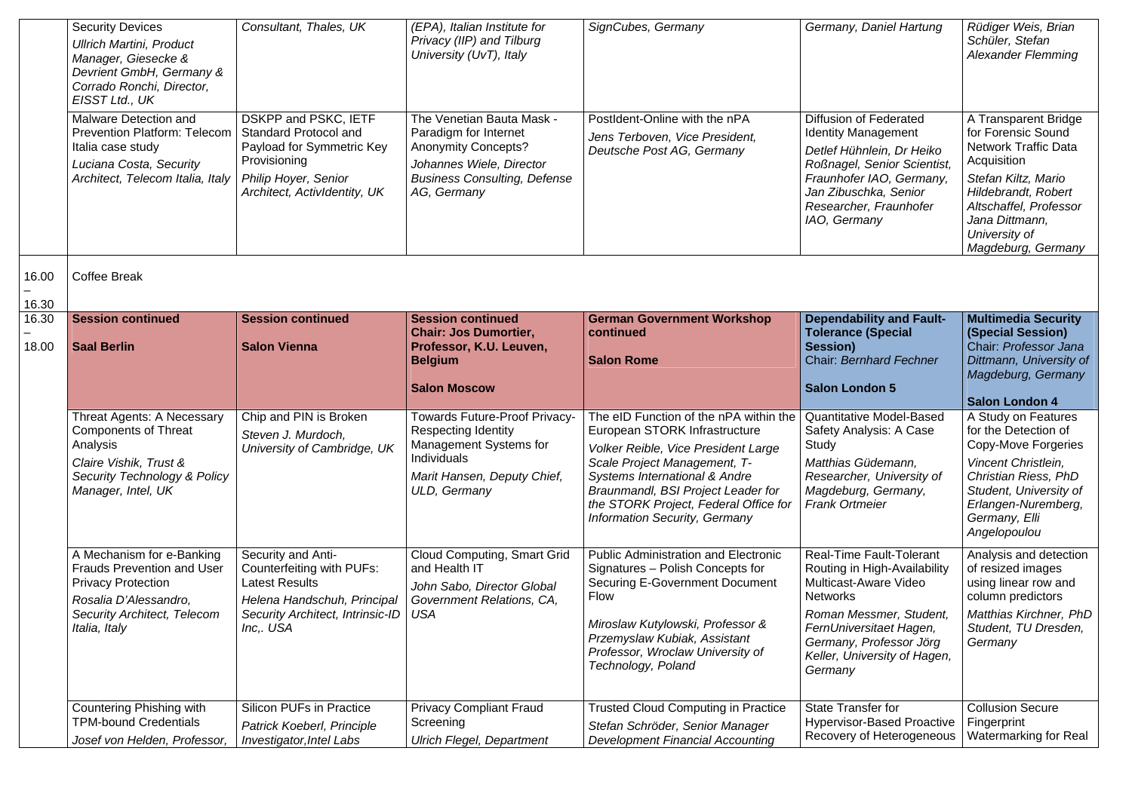|                | <b>Security Devices</b><br><b>Ullrich Martini, Product</b><br>Manager, Giesecke &<br>Devrient GmbH, Germany &<br>Corrado Ronchi, Director,<br>EISST Ltd., UK  | Consultant, Thales, UK                                                                                                                                   | (EPA), Italian Institute for<br>Privacy (IIP) and Tilburg<br>University (UvT), Italy                                                                               | SignCubes, Germany                                                                                                                                                                                                                                                                              | Germany, Daniel Hartung                                                                                                                                                                                                          | Rüdiger Weis, Brian<br>Schüler, Stefan<br><b>Alexander Flemming</b>                                                                                                                                                |
|----------------|---------------------------------------------------------------------------------------------------------------------------------------------------------------|----------------------------------------------------------------------------------------------------------------------------------------------------------|--------------------------------------------------------------------------------------------------------------------------------------------------------------------|-------------------------------------------------------------------------------------------------------------------------------------------------------------------------------------------------------------------------------------------------------------------------------------------------|----------------------------------------------------------------------------------------------------------------------------------------------------------------------------------------------------------------------------------|--------------------------------------------------------------------------------------------------------------------------------------------------------------------------------------------------------------------|
|                | Malware Detection and<br>Prevention Platform: Telecom<br>Italia case study<br>Luciana Costa, Security<br>Architect, Telecom Italia, Italy                     | DSKPP and PSKC, IETF<br>Standard Protocol and<br>Payload for Symmetric Key<br>Provisioning<br>Philip Hoyer, Senior<br>Architect, ActivIdentity, UK       | The Venetian Bauta Mask -<br>Paradigm for Internet<br><b>Anonymity Concepts?</b><br>Johannes Wiele, Director<br><b>Business Consulting, Defense</b><br>AG, Germany | PostIdent-Online with the nPA<br>Jens Terboven, Vice President,<br>Deutsche Post AG, Germany                                                                                                                                                                                                    | Diffusion of Federated<br><b>Identity Management</b><br>Detlef Hühnlein, Dr Heiko<br>Roßnagel, Senior Scientist,<br>Fraunhofer IAO, Germany,<br>Jan Zibuschka, Senior<br>Researcher, Fraunhofer<br>IAO, Germany                  | A Transparent Bridge<br>for Forensic Sound<br>Network Traffic Data<br>Acquisition<br>Stefan Kiltz, Mario<br>Hildebrandt, Robert<br>Altschaffel, Professor<br>Jana Dittmann,<br>University of<br>Magdeburg, Germany |
| 16.00          | <b>Coffee Break</b>                                                                                                                                           |                                                                                                                                                          |                                                                                                                                                                    |                                                                                                                                                                                                                                                                                                 |                                                                                                                                                                                                                                  |                                                                                                                                                                                                                    |
| 16.30          |                                                                                                                                                               |                                                                                                                                                          |                                                                                                                                                                    |                                                                                                                                                                                                                                                                                                 |                                                                                                                                                                                                                                  |                                                                                                                                                                                                                    |
| 16.30<br>18.00 | <b>Session continued</b><br><b>Saal Berlin</b>                                                                                                                | <b>Session continued</b><br><b>Salon Vienna</b>                                                                                                          | <b>Session continued</b><br><b>Chair: Jos Dumortier,</b><br>Professor, K.U. Leuven,<br><b>Belgium</b><br><b>Salon Moscow</b>                                       | <b>German Government Workshop</b><br>continued<br><b>Salon Rome</b>                                                                                                                                                                                                                             | <b>Dependability and Fault-</b><br><b>Tolerance (Special</b><br>Session)<br>Chair: Bernhard Fechner<br><b>Salon London 5</b>                                                                                                     | <b>Multimedia Security</b><br>(Special Session)<br>Chair: Professor Jana<br>Dittmann, University of<br>Magdeburg, Germany                                                                                          |
|                |                                                                                                                                                               |                                                                                                                                                          |                                                                                                                                                                    |                                                                                                                                                                                                                                                                                                 |                                                                                                                                                                                                                                  | <b>Salon London 4</b>                                                                                                                                                                                              |
|                | Threat Agents: A Necessary<br><b>Components of Threat</b><br>Analysis<br>Claire Vishik, Trust &<br>Security Technology & Policy<br>Manager, Intel, UK         | Chip and PIN is Broken<br>Steven J. Murdoch,<br>University of Cambridge, UK                                                                              | Towards Future-Proof Privacy-<br>Respecting Identity<br>Management Systems for<br>Individuals<br>Marit Hansen, Deputy Chief,<br>ULD, Germany                       | The eID Function of the nPA within the<br>European STORK Infrastructure<br>Volker Reible, Vice President Large<br>Scale Project Management, T-<br>Systems International & Andre<br>Braunmandl, BSI Project Leader for<br>the STORK Project, Federal Office for<br>Information Security, Germany | Quantitative Model-Based<br>Safety Analysis: A Case<br>Study<br>Matthias Güdemann,<br>Researcher, University of<br>Magdeburg, Germany,<br><b>Frank Ortmeier</b>                                                                  | A Study on Features<br>for the Detection of<br>Copy-Move Forgeries<br>Vincent Christlein,<br>Christian Riess, PhD<br>Student, University of<br>Erlangen-Nuremberg,<br>Germany, Elli<br>Angelopoulou                |
|                | A Mechanism for e-Banking<br>Frauds Prevention and User<br><b>Privacy Protection</b><br>Rosalia D'Alessandro,<br>Security Architect, Telecom<br>Italia, Italy | Security and Anti-<br>Counterfeiting with PUFs:<br><b>Latest Results</b><br>Helena Handschuh, Principal<br>Security Architect, Intrinsic-ID<br>Inc,. USA | Cloud Computing, Smart Grid<br>and Health IT<br>John Sabo, Director Global<br>Government Relations, CA,<br><b>USA</b>                                              | Public Administration and Electronic<br>Signatures - Polish Concepts for<br>Securing E-Government Document<br>Flow<br>Miroslaw Kutylowski, Professor &<br>Przemyslaw Kubiak, Assistant<br>Professor, Wroclaw University of<br>Technology, Poland                                                | Real-Time Fault-Tolerant<br>Routing in High-Availability<br>Multicast-Aware Video<br><b>Networks</b><br>Roman Messmer, Student,<br>FernUniversitaet Hagen,<br>Germany, Professor Jörg<br>Keller, University of Hagen,<br>Germany | Analysis and detection<br>of resized images<br>using linear row and<br>column predictors<br>Matthias Kirchner, PhD<br>Student, TU Dresden,<br>Germany                                                              |
|                | Countering Phishing with<br><b>TPM-bound Credentials</b><br>Josef von Helden, Professor,                                                                      | Silicon PUFs in Practice<br>Patrick Koeberl, Principle<br>Investigator, Intel Labs                                                                       | <b>Privacy Compliant Fraud</b><br>Screening<br><b>Ulrich Flegel, Department</b>                                                                                    | <b>Trusted Cloud Computing in Practice</b><br>Stefan Schröder, Senior Manager<br><b>Development Financial Accounting</b>                                                                                                                                                                        | State Transfer for<br><b>Hypervisor-Based Proactive</b><br>Recovery of Heterogeneous                                                                                                                                             | <b>Collusion Secure</b><br>Fingerprint<br>Watermarking for Real                                                                                                                                                    |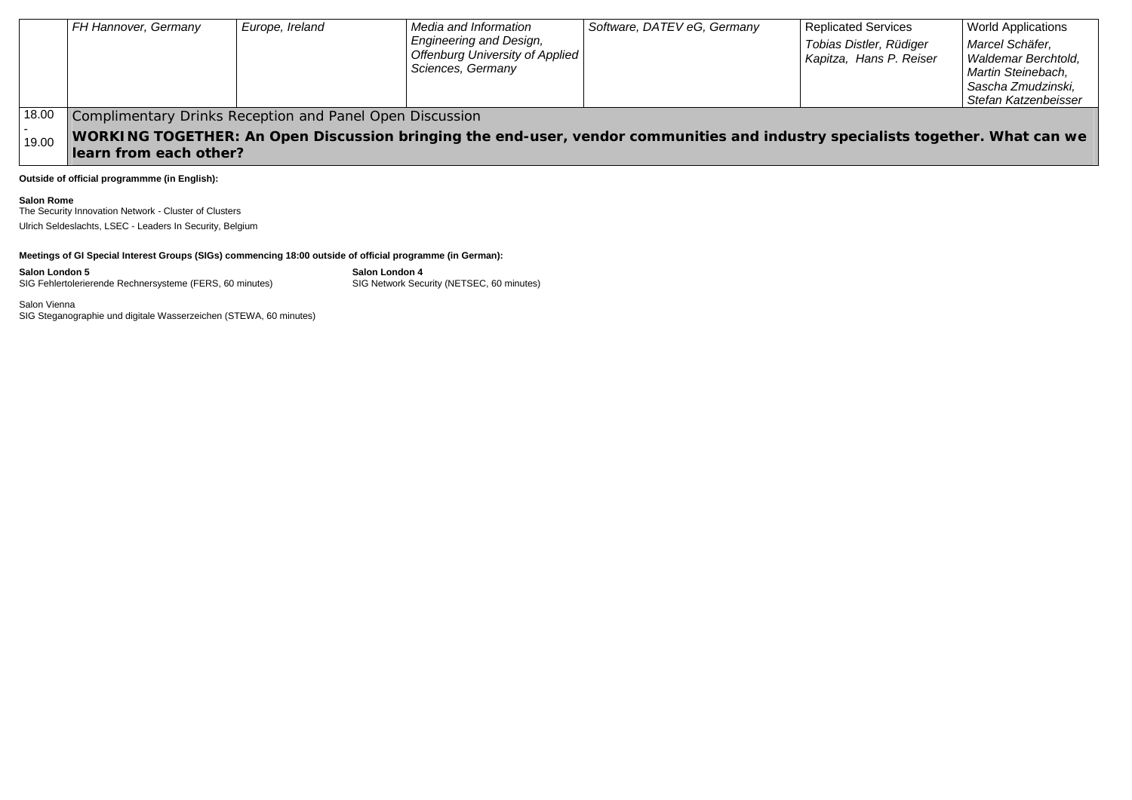|       | FH Hannover, Germany                                                                                                          | Europe, Ireland | Media and Information                                       | Software, DATEV eG, Germany | <b>Replicated Services</b> | <b>World Applications</b> |  |
|-------|-------------------------------------------------------------------------------------------------------------------------------|-----------------|-------------------------------------------------------------|-----------------------------|----------------------------|---------------------------|--|
|       |                                                                                                                               |                 | <b>Engineering and Design,</b>                              |                             | Tobias Distler, Rüdiger    | Marcel Schäfer,           |  |
|       |                                                                                                                               |                 | <b>Offenburg University of Applied</b><br>Sciences, Germany |                             | Kapitza, Hans P. Reiser    | Waldemar Berchtold.       |  |
|       |                                                                                                                               |                 |                                                             |                             |                            | Martin Steinebach,        |  |
|       |                                                                                                                               |                 |                                                             |                             |                            | Sascha Zmudzinski,        |  |
|       |                                                                                                                               |                 |                                                             |                             |                            | Stefan Katzenbeisser      |  |
| 18.00 | Complimentary Drinks Reception and Panel Open Discussion                                                                      |                 |                                                             |                             |                            |                           |  |
| 19.00 | WORKING TOGETHER: An Open Discussion bringing the end-user, vendor communities and industry specialists together. What can we |                 |                                                             |                             |                            |                           |  |
|       | llearn from each other?                                                                                                       |                 |                                                             |                             |                            |                           |  |

**Outside of official programmme (in English):** 

**Salon Rome** 

The Security Innovation Network - Cluster of Clusters Ulrich Seldeslachts, LSEC - Leaders In Security, Belgium

## **Meetings of GI Special Interest Groups (SIGs) commencing 18:00 outside of official programme (in German):**

**Salon London 5 Salon London 4**  SIG Fehlertolerierende Rechnersysteme (FERS, 60 minutes) SIG Network Security (NETSEC, 60 minutes)

Salon Vienna SIG Steganographie und digitale Wasserzeichen (STEWA, 60 minutes)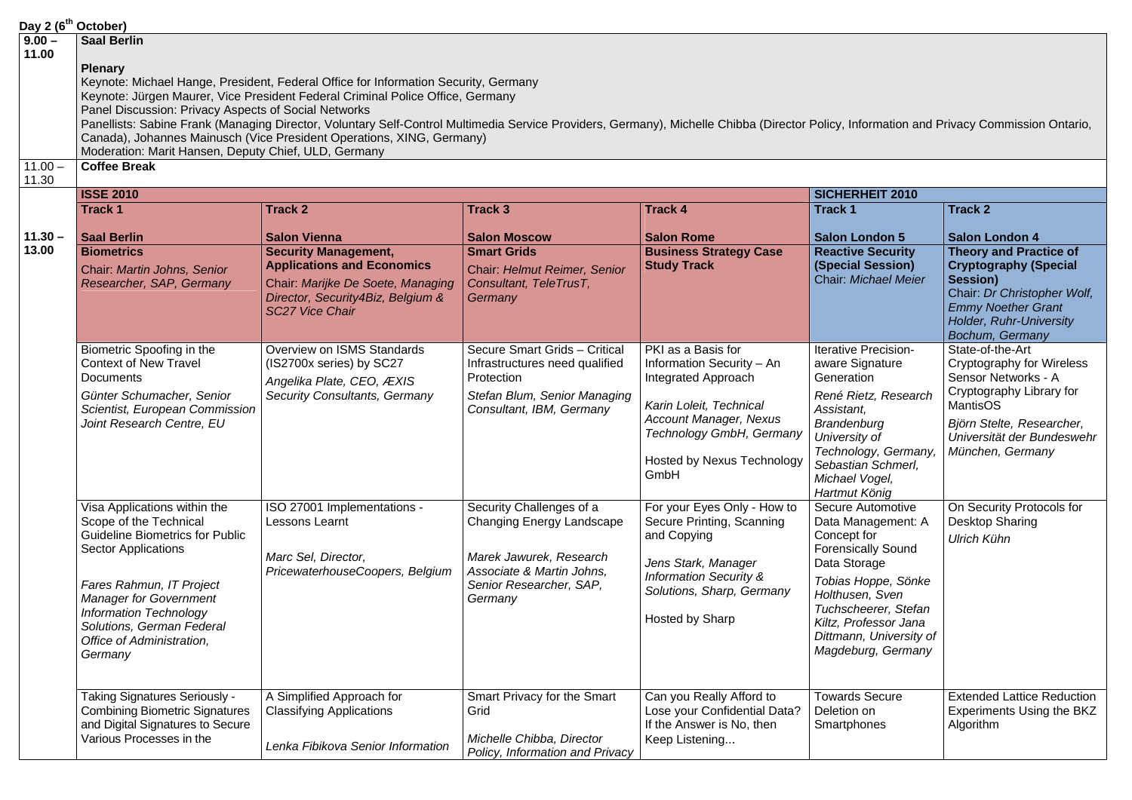|                                | Day 2 (6 <sup>th</sup> October)                                                                                                                                                                                                                                                                   |                                                                                                                                                                                                                                                                                                                                                                                                                                             |                                                                                                                                                     |                                                                                                                                                                                               |                                                                                                                                                                                                                                          |                                                                                                                                                                                                              |
|--------------------------------|---------------------------------------------------------------------------------------------------------------------------------------------------------------------------------------------------------------------------------------------------------------------------------------------------|---------------------------------------------------------------------------------------------------------------------------------------------------------------------------------------------------------------------------------------------------------------------------------------------------------------------------------------------------------------------------------------------------------------------------------------------|-----------------------------------------------------------------------------------------------------------------------------------------------------|-----------------------------------------------------------------------------------------------------------------------------------------------------------------------------------------------|------------------------------------------------------------------------------------------------------------------------------------------------------------------------------------------------------------------------------------------|--------------------------------------------------------------------------------------------------------------------------------------------------------------------------------------------------------------|
| $9.00 -$<br>11.00<br>$11.00 -$ | <b>Saal Berlin</b><br><b>Plenary</b><br>Panel Discussion: Privacy Aspects of Social Networks<br>Moderation: Marit Hansen, Deputy Chief, ULD, Germany<br><b>Coffee Break</b>                                                                                                                       | Keynote: Michael Hange, President, Federal Office for Information Security, Germany<br>Keynote: Jürgen Maurer, Vice President Federal Criminal Police Office, Germany<br>Panellists: Sabine Frank (Managing Director, Voluntary Self-Control Multimedia Service Providers, Germany), Michelle Chibba (Director Policy, Information and Privacy Commission Ontario,<br>Canada), Johannes Mainusch (Vice President Operations, XING, Germany) |                                                                                                                                                     |                                                                                                                                                                                               |                                                                                                                                                                                                                                          |                                                                                                                                                                                                              |
| 11.30                          |                                                                                                                                                                                                                                                                                                   |                                                                                                                                                                                                                                                                                                                                                                                                                                             |                                                                                                                                                     |                                                                                                                                                                                               |                                                                                                                                                                                                                                          |                                                                                                                                                                                                              |
|                                | <b>ISSE 2010</b>                                                                                                                                                                                                                                                                                  |                                                                                                                                                                                                                                                                                                                                                                                                                                             |                                                                                                                                                     |                                                                                                                                                                                               | SICHERHEIT 2010                                                                                                                                                                                                                          |                                                                                                                                                                                                              |
|                                | <b>Track 1</b>                                                                                                                                                                                                                                                                                    | <b>Track 2</b>                                                                                                                                                                                                                                                                                                                                                                                                                              | <b>Track 3</b>                                                                                                                                      | <b>Track 4</b>                                                                                                                                                                                | <b>Track 1</b>                                                                                                                                                                                                                           | Track 2                                                                                                                                                                                                      |
| $11.30 -$<br>13.00             | <b>Saal Berlin</b><br><b>Biometrics</b><br>Chair: Martin Johns, Senior<br>Researcher, SAP, Germany                                                                                                                                                                                                | <b>Salon Vienna</b><br><b>Security Management,</b><br><b>Applications and Economics</b><br>Chair: Marijke De Soete, Managing<br>Director, Security4Biz, Belgium &<br><b>SC27 Vice Chair</b>                                                                                                                                                                                                                                                 | <b>Salon Moscow</b><br><b>Smart Grids</b><br>Chair: Helmut Reimer, Senior<br>Consultant, TeleTrusT,<br>Germany                                      | <b>Salon Rome</b><br><b>Business Strategy Case</b><br><b>Study Track</b>                                                                                                                      | <b>Salon London 5</b><br><b>Reactive Security</b><br>(Special Session)<br>Chair: Michael Meier                                                                                                                                           | Salon London 4<br><b>Theory and Practice of</b><br><b>Cryptography (Special</b><br><b>Session)</b><br>Chair: Dr Christopher Wolf,<br><b>Emmy Noether Grant</b><br>Holder, Ruhr-University<br>Bochum, Germany |
|                                | Biometric Spoofing in the<br><b>Context of New Travel</b><br><b>Documents</b><br>Günter Schumacher, Senior<br>Scientist, European Commission<br>Joint Research Centre, EU                                                                                                                         | Overview on ISMS Standards<br>(IS2700x series) by SC27<br>Angelika Plate, CEO, ÆXIS<br>Security Consultants, Germany                                                                                                                                                                                                                                                                                                                        | Secure Smart Grids - Critical<br>Infrastructures need qualified<br>Protection<br>Stefan Blum, Senior Managing<br>Consultant, IBM, Germany           | PKI as a Basis for<br>Information Security - An<br>Integrated Approach<br>Karin Loleit, Technical<br>Account Manager, Nexus<br>Technology GmbH, Germany<br>Hosted by Nexus Technology<br>GmbH | Iterative Precision-<br>aware Signature<br>Generation<br>René Rietz, Research<br>Assistant,<br>Brandenburg<br>University of<br>Technology, Germany,<br>Sebastian Schmerl,<br>Michael Vogel,<br>Hartmut König                             | State-of-the-Art<br>Cryptography for Wireless<br>Sensor Networks - A<br>Cryptography Library for<br><b>MantisOS</b><br>Björn Stelte, Researcher,<br>Universität der Bundeswehr<br>München, Germany           |
|                                | Visa Applications within the<br>Scope of the Technical<br><b>Guideline Biometrics for Public</b><br><b>Sector Applications</b><br>Fares Rahmun, IT Project<br><b>Manager for Government</b><br><b>Information Technology</b><br>Solutions, German Federal<br>Office of Administration,<br>Germany | ISO 27001 Implementations -<br>Lessons Learnt<br>Marc Sel, Director,<br>PricewaterhouseCoopers, Belgium                                                                                                                                                                                                                                                                                                                                     | Security Challenges of a<br>Changing Energy Landscape<br>Marek Jawurek, Research<br>Associate & Martin Johns,<br>Senior Researcher, SAP,<br>Germany | For your Eyes Only - How to<br>Secure Printing, Scanning<br>and Copying<br>Jens Stark, Manager<br><b>Information Security &amp;</b><br>Solutions, Sharp, Germany<br>Hosted by Sharp           | Secure Automotive<br>Data Management: A<br>Concept for<br>Forensically Sound<br>Data Storage<br>Tobias Hoppe, Sönke<br>Holthusen, Sven<br>Tuchscheerer, Stefan<br>Kiltz, Professor Jana<br>Dittmann, University of<br>Magdeburg, Germany | On Security Protocols for<br>Desktop Sharing<br>Ulrich Kühn                                                                                                                                                  |
|                                | Taking Signatures Seriously -<br><b>Combining Biometric Signatures</b><br>and Digital Signatures to Secure<br>Various Processes in the                                                                                                                                                            | A Simplified Approach for<br><b>Classifying Applications</b><br>Lenka Fibikova Senior Information                                                                                                                                                                                                                                                                                                                                           | Smart Privacy for the Smart<br>Grid<br>Michelle Chibba, Director<br>Policy, Information and Privacy                                                 | Can you Really Afford to<br>Lose your Confidential Data?<br>If the Answer is No, then<br>Keep Listening                                                                                       | <b>Towards Secure</b><br>Deletion on<br>Smartphones                                                                                                                                                                                      | <b>Extended Lattice Reduction</b><br>Experiments Using the BKZ<br>Algorithm                                                                                                                                  |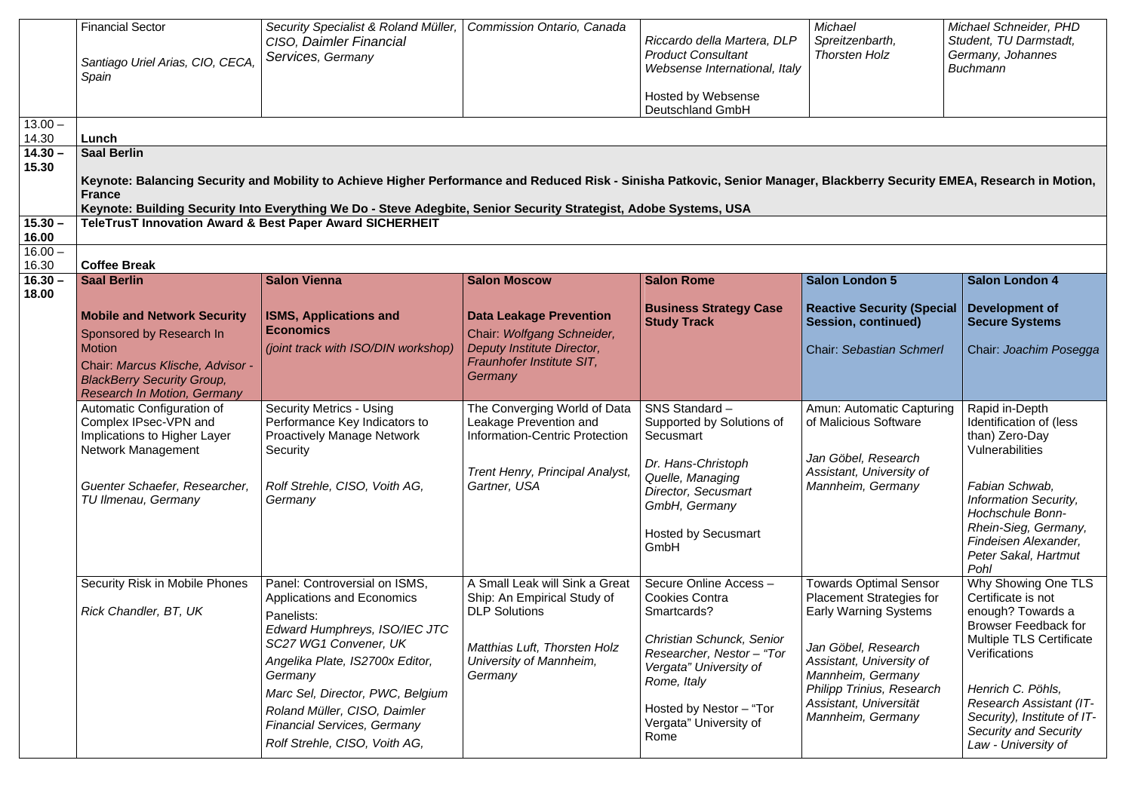| $13.00 -$<br>14.30<br>$14.30 -$<br>15.30 | <b>Financial Sector</b><br>Santiago Uriel Arias, CIO, CECA,<br>Spain<br>Lunch<br><b>Saal Berlin</b>                                                                                                                  | Security Specialist & Roland Müller,<br>CISO, Daimler Financial<br>Services, Germany<br>Keynote: Balancing Security and Mobility to Achieve Higher Performance and Reduced Risk - Sinisha Patkovic, Senior Manager, Blackberry Security EMEA, Research in Motion,                                                     | Commission Ontario, Canada                                                                                                                                  | Riccardo della Martera, DLP<br><b>Product Consultant</b><br>Websense International, Italy<br>Hosted by Websense<br>Deutschland GmbH                                                                                     | Michael<br>Spreitzenbarth,<br><b>Thorsten Holz</b>                                                                                                                                                                                     | Michael Schneider, PHD<br>Student, TU Darmstadt,<br>Germany, Johannes<br><b>Buchmann</b>                                                                                                                                                                           |
|------------------------------------------|----------------------------------------------------------------------------------------------------------------------------------------------------------------------------------------------------------------------|-----------------------------------------------------------------------------------------------------------------------------------------------------------------------------------------------------------------------------------------------------------------------------------------------------------------------|-------------------------------------------------------------------------------------------------------------------------------------------------------------|-------------------------------------------------------------------------------------------------------------------------------------------------------------------------------------------------------------------------|----------------------------------------------------------------------------------------------------------------------------------------------------------------------------------------------------------------------------------------|--------------------------------------------------------------------------------------------------------------------------------------------------------------------------------------------------------------------------------------------------------------------|
| $15.30 -$                                | <b>France</b><br>TeleTrusT Innovation Award & Best Paper Award SICHERHEIT                                                                                                                                            | Keynote: Building Security Into Everything We Do - Steve Adegbite, Senior Security Strategist, Adobe Systems, USA                                                                                                                                                                                                     |                                                                                                                                                             |                                                                                                                                                                                                                         |                                                                                                                                                                                                                                        |                                                                                                                                                                                                                                                                    |
| 16.00<br>$16.00 -$<br>16.30              | <b>Coffee Break</b>                                                                                                                                                                                                  |                                                                                                                                                                                                                                                                                                                       |                                                                                                                                                             |                                                                                                                                                                                                                         |                                                                                                                                                                                                                                        |                                                                                                                                                                                                                                                                    |
| $16.30 -$<br>18.00                       | <b>Saal Berlin</b><br><b>Mobile and Network Security</b><br>Sponsored by Research In<br><b>Motion</b><br>Chair: Marcus Klische, Advisor -<br><b>BlackBerry Security Group,</b><br><b>Research In Motion, Germany</b> | <b>Salon Vienna</b><br><b>ISMS, Applications and</b><br><b>Economics</b><br>(joint track with ISO/DIN workshop)                                                                                                                                                                                                       | <b>Salon Moscow</b><br><b>Data Leakage Prevention</b><br>Chair: Wolfgang Schneider,<br>Deputy Institute Director,<br>Fraunhofer Institute SIT,<br>Germany   | <b>Salon Rome</b><br><b>Business Strategy Case</b><br><b>Study Track</b>                                                                                                                                                | <b>Salon London 5</b><br><b>Reactive Security (Special</b><br><b>Session, continued)</b><br><b>Chair: Sebastian Schmerl</b>                                                                                                            | <b>Salon London 4</b><br>Development of<br><b>Secure Systems</b><br>Chair: Joachim Posegga                                                                                                                                                                         |
|                                          | Automatic Configuration of<br>Complex IPsec-VPN and<br>Implications to Higher Layer<br>Network Management<br>Guenter Schaefer, Researcher,<br>TU Ilmenau, Germany                                                    | <b>Security Metrics - Using</b><br>Performance Key Indicators to<br>Proactively Manage Network<br>Security<br>Rolf Strehle, CISO, Voith AG,<br>Germany                                                                                                                                                                | The Converging World of Data<br>Leakage Prevention and<br>Information-Centric Protection<br>Trent Henry, Principal Analyst,<br>Gartner, USA                 | SNS Standard-<br>Supported by Solutions of<br>Secusmart<br>Dr. Hans-Christoph<br>Quelle, Managing<br>Director, Secusmart<br>GmbH, Germany<br><b>Hosted by Secusmart</b><br>GmbH                                         | Amun: Automatic Capturing<br>of Malicious Software<br>Jan Göbel, Research<br>Assistant, University of<br>Mannheim, Germany                                                                                                             | Rapid in-Depth<br>Identification of (less<br>than) Zero-Day<br>Vulnerabilities<br>Fabian Schwab,<br>Information Security,<br>Hochschule Bonn-<br>Rhein-Sieg, Germany,<br>Findeisen Alexander,<br>Peter Sakal, Hartmut<br>Pohl                                      |
|                                          | Security Risk in Mobile Phones<br>Rick Chandler, BT, UK                                                                                                                                                              | Panel: Controversial on ISMS,<br>Applications and Economics<br>Panelists:<br>Edward Humphreys, ISO/IEC JTC<br>SC27 WG1 Convener, UK<br>Angelika Plate, IS2700x Editor,<br>Germany<br>Marc Sel, Director, PWC, Belgium<br>Roland Müller, CISO, Daimler<br>Financial Services, Germany<br>Rolf Strehle, CISO, Voith AG, | A Small Leak will Sink a Great<br>Ship: An Empirical Study of<br><b>DLP Solutions</b><br>Matthias Luft, Thorsten Holz<br>University of Mannheim,<br>Germany | Secure Online Access -<br>Cookies Contra<br>Smartcards?<br>Christian Schunck, Senior<br>Researcher, Nestor - "Tor<br>Vergata" University of<br>Rome, Italy<br>Hosted by Nestor - "Tor<br>Vergata" University of<br>Rome | <b>Towards Optimal Sensor</b><br>Placement Strategies for<br>Early Warning Systems<br>Jan Göbel, Research<br>Assistant, University of<br>Mannheim, Germany<br>Philipp Trinius, Research<br>Assistant, Universität<br>Mannheim, Germany | Why Showing One TLS<br>Certificate is not<br>enough? Towards a<br>Browser Feedback for<br>Multiple TLS Certificate<br>Verifications<br>Henrich C. Pöhls,<br>Research Assistant (IT-<br>Security), Institute of IT-<br>Security and Security<br>Law - University of |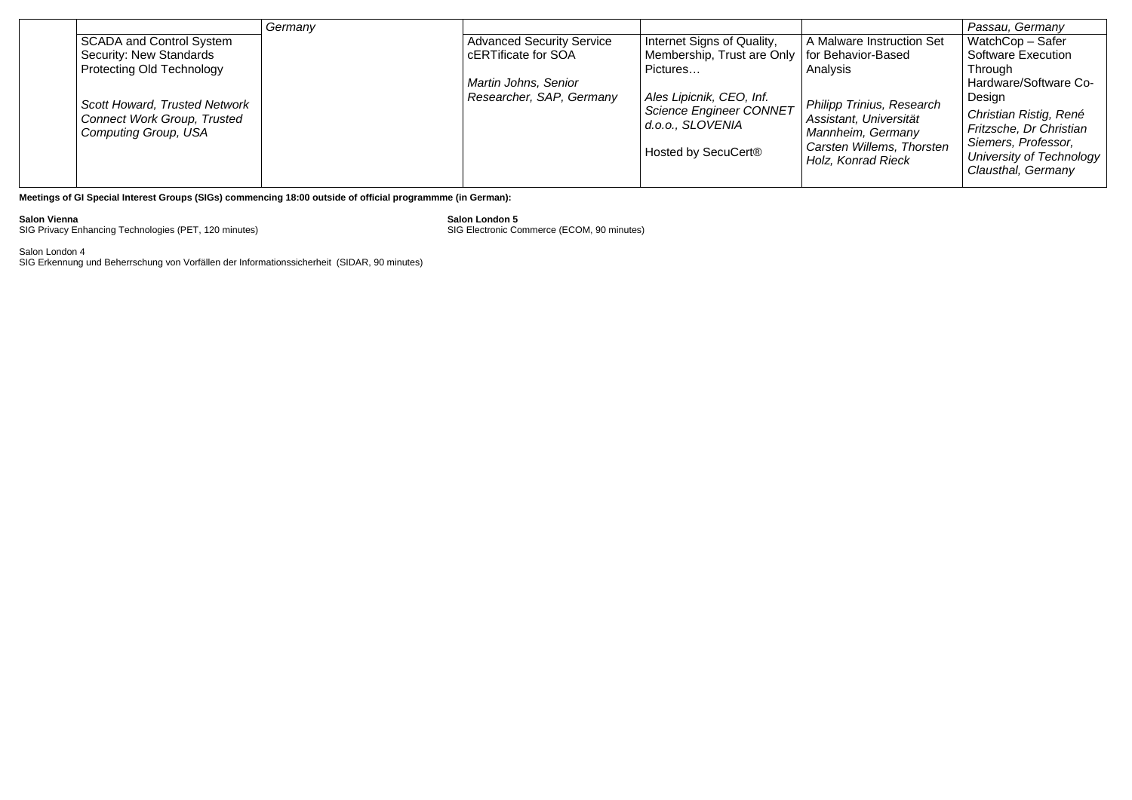|  |                                                                                                    | Germany |                                  |                                                    |                                                 | Passau, Germany                                                          |
|--|----------------------------------------------------------------------------------------------------|---------|----------------------------------|----------------------------------------------------|-------------------------------------------------|--------------------------------------------------------------------------|
|  | <b>SCADA and Control System</b>                                                                    |         | <b>Advanced Security Service</b> | Internet Signs of Quality,                         | A Malware Instruction Set                       | WatchCop - Safer                                                         |
|  | Security: New Standards                                                                            |         | cERTificate for SOA              | Membership, Trust are Only   for Behavior-Based    |                                                 | Software Execution                                                       |
|  | <b>Protecting Old Technology</b>                                                                   |         |                                  | Pictures                                           | Analysis                                        | Through                                                                  |
|  |                                                                                                    |         | Martin Johns, Senior             |                                                    |                                                 | Hardware/Software Co-                                                    |
|  |                                                                                                    |         | Researcher, SAP, Germany         | Ales Lipicnik, CEO, Inf.                           | Philipp Trinius, Research                       | Design                                                                   |
|  | Scott Howard, Trusted Network<br><b>Connect Work Group, Trusted</b><br><b>Computing Group, USA</b> |         |                                  | <b>Science Engineer CONNET</b><br>d.o.o., SLOVENIA | Assistant, Universität<br>Mannheim, Germany     | Christian Ristig, René<br>Fritzsche, Dr Christian<br>Siemers, Professor, |
|  |                                                                                                    |         |                                  | Hosted by SecuCert <sup>®</sup>                    | Carsten Willems, Thorsten<br>Holz, Konrad Rieck | University of Technology<br>Clausthal, Germany                           |

**Meetings of GI Special Interest Groups (SIGs) commencing 18:00 outside of official programmme (in German):** 

**Salon Vienna Salon London 5**  SIG Privacy Enhancing Technologies (PET, 120 minutes) SIG Electronic Commerce (ECOM, 90 minutes)

Salon London 4 SIG Erkennung und Beherrschung von Vorfällen der Informationssicherheit (SIDAR, 90 minutes)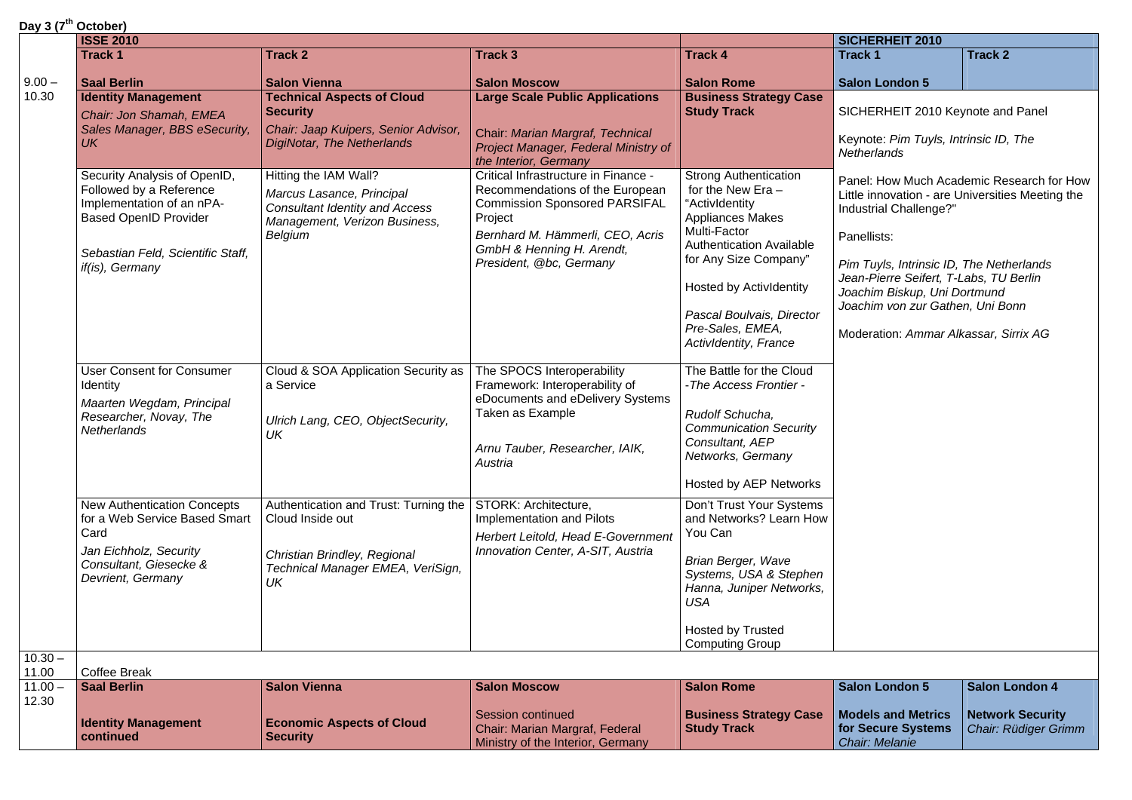|  |  | Day 3 (7 <sup>th</sup> October) |  |
|--|--|---------------------------------|--|
|--|--|---------------------------------|--|

| Day J (1 OCLODEI)  | <b>ISSE 2010</b>                                                                                                                                                             |                                                                                                                                         |                                                                                                                                                                                                                        |                                                                                                                                                                                                                                                                                          | SICHERHEIT 2010                                                                                                                                                                                                                          |                                                                                               |
|--------------------|------------------------------------------------------------------------------------------------------------------------------------------------------------------------------|-----------------------------------------------------------------------------------------------------------------------------------------|------------------------------------------------------------------------------------------------------------------------------------------------------------------------------------------------------------------------|------------------------------------------------------------------------------------------------------------------------------------------------------------------------------------------------------------------------------------------------------------------------------------------|------------------------------------------------------------------------------------------------------------------------------------------------------------------------------------------------------------------------------------------|-----------------------------------------------------------------------------------------------|
|                    | <b>Track 1</b>                                                                                                                                                               | <b>Track 2</b>                                                                                                                          | <b>Track 3</b>                                                                                                                                                                                                         | <b>Track 4</b>                                                                                                                                                                                                                                                                           | <b>Track 1</b>                                                                                                                                                                                                                           | <b>Track 2</b>                                                                                |
| $9.00 -$           | <b>Saal Berlin</b>                                                                                                                                                           | <b>Salon Vienna</b>                                                                                                                     | <b>Salon Moscow</b>                                                                                                                                                                                                    | <b>Salon Rome</b>                                                                                                                                                                                                                                                                        | <b>Salon London 5</b>                                                                                                                                                                                                                    |                                                                                               |
| 10.30              | <b>Identity Management</b><br>Chair: Jon Shamah, EMEA<br>Sales Manager, BBS eSecurity,<br><b>UK</b>                                                                          | <b>Technical Aspects of Cloud</b><br><b>Security</b><br>Chair: Jaap Kuipers, Senior Advisor,<br>DigiNotar, The Netherlands              | <b>Large Scale Public Applications</b><br>Chair: Marian Margraf, Technical<br>Project Manager, Federal Ministry of<br>the Interior, Germany                                                                            | <b>Business Strategy Case</b><br><b>Study Track</b>                                                                                                                                                                                                                                      | SICHERHEIT 2010 Keynote and Panel<br>Keynote: Pim Tuyls, Intrinsic ID, The<br>Netherlands                                                                                                                                                |                                                                                               |
|                    | Security Analysis of OpenID,<br>Followed by a Reference<br>Implementation of an nPA-<br><b>Based OpenID Provider</b><br>Sebastian Feld, Scientific Staff,<br>if(is), Germany | Hitting the IAM Wall?<br>Marcus Lasance, Principal<br><b>Consultant Identity and Access</b><br>Management, Verizon Business,<br>Belgium | Critical Infrastructure in Finance -<br>Recommendations of the European<br><b>Commission Sponsored PARSIFAL</b><br>Project<br>Bernhard M. Hämmerli, CEO, Acris<br>GmbH & Henning H. Arendt,<br>President, @bc, Germany | <b>Strong Authentication</b><br>for the New Era $-$<br>"ActivIdentity<br><b>Appliances Makes</b><br>Multi-Factor<br><b>Authentication Available</b><br>for Any Size Company"<br><b>Hosted by Actividentity</b><br>Pascal Boulvais, Director<br>Pre-Sales, EMEA,<br>ActivIdentity, France | Industrial Challenge?"<br>Panellists:<br>Pim Tuyls, Intrinsic ID, The Netherlands<br>Jean-Pierre Seifert, T-Labs, TU Berlin<br>Joachim Biskup, Uni Dortmund<br>Joachim von zur Gathen, Uni Bonn<br>Moderation: Ammar Alkassar, Sirrix AG | Panel: How Much Academic Research for How<br>Little innovation - are Universities Meeting the |
|                    | <b>User Consent for Consumer</b><br>Identity<br>Maarten Wegdam, Principal<br>Researcher, Novay, The<br>Netherlands                                                           | Cloud & SOA Application Security as<br>a Service<br>Ulrich Lang, CEO, ObjectSecurity,<br>UK                                             | The SPOCS Interoperability<br>Framework: Interoperability of<br>eDocuments and eDelivery Systems<br>Taken as Example<br>Arnu Tauber, Researcher, IAIK,<br>Austria                                                      | The Battle for the Cloud<br>- The Access Frontier -<br>Rudolf Schucha,<br><b>Communication Security</b><br>Consultant, AEP<br>Networks, Germany<br>Hosted by AEP Networks                                                                                                                |                                                                                                                                                                                                                                          |                                                                                               |
|                    | <b>New Authentication Concepts</b><br>for a Web Service Based Smart<br>Card<br>Jan Eichholz, Security<br>Consultant, Giesecke &<br>Devrient, Germany                         | Authentication and Trust: Turning the<br>Cloud Inside out<br>Christian Brindley, Regional<br>Technical Manager EMEA, VeriSign,<br>UK    | STORK: Architecture,<br>Implementation and Pilots<br>Herbert Leitold, Head E-Government<br>Innovation Center, A-SIT, Austria                                                                                           | Don't Trust Your Systems<br>and Networks? Learn How<br>You Can<br>Brian Berger, Wave<br>Systems, USA & Stephen<br>Hanna, Juniper Networks,<br><b>USA</b><br>Hosted by Trusted<br><b>Computing Group</b>                                                                                  |                                                                                                                                                                                                                                          |                                                                                               |
| $10.30 -$<br>11.00 | Coffee Break                                                                                                                                                                 |                                                                                                                                         |                                                                                                                                                                                                                        |                                                                                                                                                                                                                                                                                          |                                                                                                                                                                                                                                          |                                                                                               |
| $11.00 -$          | <b>Saal Berlin</b>                                                                                                                                                           | <b>Salon Vienna</b>                                                                                                                     | <b>Salon Moscow</b>                                                                                                                                                                                                    | <b>Salon Rome</b>                                                                                                                                                                                                                                                                        | Salon London 5                                                                                                                                                                                                                           | <b>Salon London 4</b>                                                                         |
| 12.30              | <b>Identity Management</b><br>continued                                                                                                                                      | <b>Economic Aspects of Cloud</b><br><b>Security</b>                                                                                     | Session continued<br>Chair: Marian Margraf, Federal<br>Ministry of the Interior, Germany                                                                                                                               | <b>Business Strategy Case</b><br><b>Study Track</b>                                                                                                                                                                                                                                      | <b>Models and Metrics</b><br>for Secure Systems<br>Chair: Melanie                                                                                                                                                                        | <b>Network Security</b><br>Chair: Rüdiger Grimm                                               |